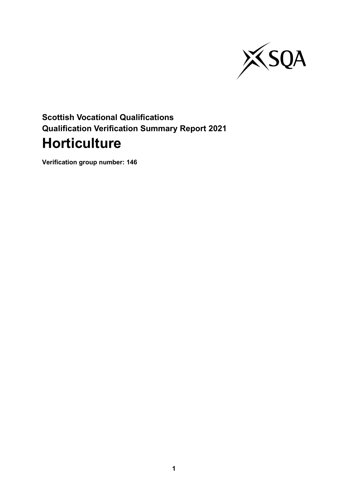

# **Scottish Vocational Qualifications Qualification Verification Summary Report 2021 Horticulture**

**Verification group number: 146**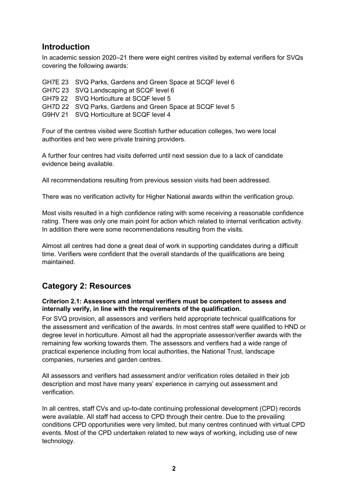### **Introduction**

In academic session 2020–21 there were eight centres visited by external verifiers for SVQs covering the following awards:

| GH7E 23 SVQ Parks, Gardens and Green Space at SCQF level 6 |
|------------------------------------------------------------|
| GH7C 23 SVQ Landscaping at SCQF level 6                    |
| GH79 22 SVQ Horticulture at SCQF level 5                   |
| GH7D 22 SVQ Parks, Gardens and Green Space at SCQF level 5 |
| G9HV 21 SVQ Horticulture at SCQF level 4                   |
|                                                            |

Four of the centres visited were Scottish further education colleges, two were local authorities and two were private training providers.

A further four centres had visits deferred until next session due to a lack of candidate evidence being available.

All recommendations resulting from previous session visits had been addressed.

There was no verification activity for Higher National awards within the verification group.

Most visits resulted in a high confidence rating with some receiving a reasonable confidence rating. There was only one main point for action which related to internal verification activity. In addition there were some recommendations resulting from the visits.

Almost all centres had done a great deal of work in supporting candidates during a difficult time. Verifiers were confident that the overall standards of the qualifications are being maintained.

### **Category 2: Resources**

#### **Criterion 2.1: Assessors and internal verifiers must be competent to assess and internally verify, in line with the requirements of the qualification.**

For SVQ provision, all assessors and verifiers held appropriate technical qualifications for the assessment and verification of the awards. In most centres staff were qualified to HND or degree level in horticulture. Almost all had the appropriate assessor/verifier awards with the remaining few working towards them. The assessors and verifiers had a wide range of practical experience including from local authorities, the National Trust, landscape companies, nurseries and garden centres.

All assessors and verifiers had assessment and/or verification roles detailed in their job description and most have many years' experience in carrying out assessment and verification.

In all centres, staff CVs and up-to-date continuing professional development (CPD) records were available. All staff had access to CPD through their centre. Due to the prevailing conditions CPD opportunities were very limited, but many centres continued with virtual CPD events. Most of the CPD undertaken related to new ways of working, including use of new technology.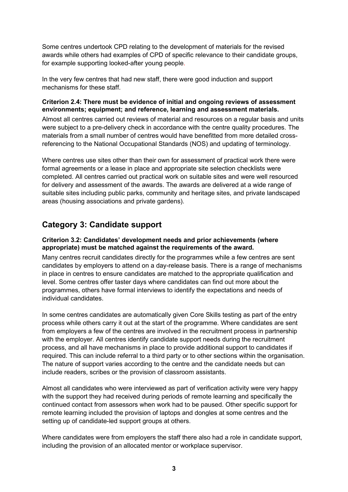Some centres undertook CPD relating to the development of materials for the revised awards while others had examples of CPD of specific relevance to their candidate groups, for example supporting looked-after young people.

In the very few centres that had new staff, there were good induction and support mechanisms for these staff.

#### **Criterion 2.4: There must be evidence of initial and ongoing reviews of assessment environments; equipment; and reference, learning and assessment materials.**

Almost all centres carried out reviews of material and resources on a regular basis and units were subject to a pre-delivery check in accordance with the centre quality procedures. The materials from a small number of centres would have benefitted from more detailed crossreferencing to the National Occupational Standards (NOS) and updating of terminology.

Where centres use sites other than their own for assessment of practical work there were formal agreements or a lease in place and appropriate site selection checklists were completed. All centres carried out practical work on suitable sites and were well resourced for delivery and assessment of the awards. The awards are delivered at a wide range of suitable sites including public parks, community and heritage sites, and private landscaped areas (housing associations and private gardens).

# **Category 3: Candidate support**

#### **Criterion 3.2: Candidates' development needs and prior achievements (where appropriate) must be matched against the requirements of the award.**

Many centres recruit candidates directly for the programmes while a few centres are sent candidates by employers to attend on a day-release basis. There is a range of mechanisms in place in centres to ensure candidates are matched to the appropriate qualification and level. Some centres offer taster days where candidates can find out more about the programmes, others have formal interviews to identify the expectations and needs of individual candidates.

In some centres candidates are automatically given Core Skills testing as part of the entry process while others carry it out at the start of the programme. Where candidates are sent from employers a few of the centres are involved in the recruitment process in partnership with the employer. All centres identify candidate support needs during the recruitment process, and all have mechanisms in place to provide additional support to candidates if required. This can include referral to a third party or to other sections within the organisation. The nature of support varies according to the centre and the candidate needs but can include readers, scribes or the provision of classroom assistants.

Almost all candidates who were interviewed as part of verification activity were very happy with the support they had received during periods of remote learning and specifically the continued contact from assessors when work had to be paused. Other specific support for remote learning included the provision of laptops and dongles at some centres and the setting up of candidate-led support groups at others.

Where candidates were from employers the staff there also had a role in candidate support, including the provision of an allocated mentor or workplace supervisor.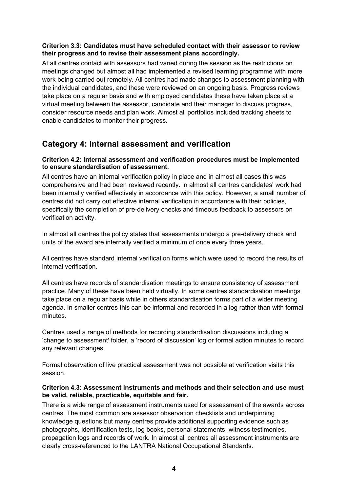#### **Criterion 3.3: Candidates must have scheduled contact with their assessor to review their progress and to revise their assessment plans accordingly.**

At all centres contact with assessors had varied during the session as the restrictions on meetings changed but almost all had implemented a revised learning programme with more work being carried out remotely. All centres had made changes to assessment planning with the individual candidates, and these were reviewed on an ongoing basis. Progress reviews take place on a regular basis and with employed candidates these have taken place at a virtual meeting between the assessor, candidate and their manager to discuss progress, consider resource needs and plan work. Almost all portfolios included tracking sheets to enable candidates to monitor their progress.

### **Category 4: Internal assessment and verification**

#### **Criterion 4.2: Internal assessment and verification procedures must be implemented to ensure standardisation of assessment.**

All centres have an internal verification policy in place and in almost all cases this was comprehensive and had been reviewed recently. In almost all centres candidates' work had been internally verified effectively in accordance with this policy. However, a small number of centres did not carry out effective internal verification in accordance with their policies, specifically the completion of pre-delivery checks and timeous feedback to assessors on verification activity.

In almost all centres the policy states that assessments undergo a pre-delivery check and units of the award are internally verified a minimum of once every three years.

All centres have standard internal verification forms which were used to record the results of internal verification.

All centres have records of standardisation meetings to ensure consistency of assessment practice. Many of these have been held virtually. In some centres standardisation meetings take place on a regular basis while in others standardisation forms part of a wider meeting agenda. In smaller centres this can be informal and recorded in a log rather than with formal minutes.

Centres used a range of methods for recording standardisation discussions including a 'change to assessment' folder, a 'record of discussion' log or formal action minutes to record any relevant changes.

Formal observation of live practical assessment was not possible at verification visits this session.

#### **Criterion 4.3: Assessment instruments and methods and their selection and use must be valid, reliable, practicable, equitable and fair.**

There is a wide range of assessment instruments used for assessment of the awards across centres. The most common are assessor observation checklists and underpinning knowledge questions but many centres provide additional supporting evidence such as photographs, identification tests, log books, personal statements, witness testimonies, propagation logs and records of work. In almost all centres all assessment instruments are clearly cross-referenced to the LANTRA National Occupational Standards.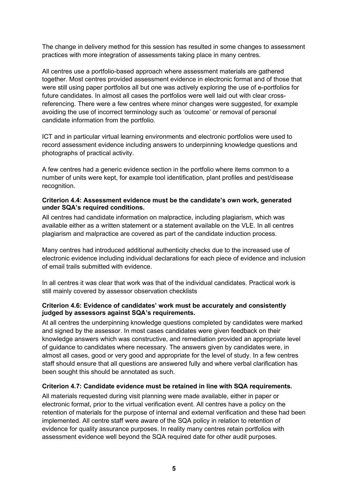The change in delivery method for this session has resulted in some changes to assessment practices with more integration of assessments taking place in many centres.

All centres use a portfolio-based approach where assessment materials are gathered together. Most centres provided assessment evidence in electronic format and of those that were still using paper portfolios all but one was actively exploring the use of e-portfolios for future candidates. In almost all cases the portfolios were well laid out with clear crossreferencing. There were a few centres where minor changes were suggested, for example avoiding the use of incorrect terminology such as 'outcome' or removal of personal candidate information from the portfolio.

ICT and in particular virtual learning environments and electronic portfolios were used to record assessment evidence including answers to underpinning knowledge questions and photographs of practical activity.

A few centres had a generic evidence section in the portfolio where items common to a number of units were kept, for example tool identification, plant profiles and pest/disease recognition.

#### **Criterion 4.4: Assessment evidence must be the candidate's own work, generated under SQA's required conditions.**

All centres had candidate information on malpractice, including plagiarism, which was available either as a written statement or a statement available on the VLE. In all centres plagiarism and malpractice are covered as part of the candidate induction process.

Many centres had introduced additional authenticity checks due to the increased use of electronic evidence including individual declarations for each piece of evidence and inclusion of email trails submitted with evidence.

In all centres it was clear that work was that of the individual candidates. Practical work is still mainly covered by assessor observation checklists

#### **Criterion 4.6: Evidence of candidates' work must be accurately and consistently judged by assessors against SQA's requirements.**

At all centres the underpinning knowledge questions completed by candidates were marked and signed by the assessor. In most cases candidates were given feedback on their knowledge answers which was constructive, and remediation provided an appropriate level of guidance to candidates where necessary. The answers given by candidates were, in almost all cases, good or very good and appropriate for the level of study. In a few centres staff should ensure that all questions are answered fully and where verbal clarification has been sought this should be annotated as such.

#### **Criterion 4.7: Candidate evidence must be retained in line with SQA requirements.**

All materials requested during visit planning were made available, either in paper or electronic format, prior to the virtual verification event. All centres have a policy on the retention of materials for the purpose of internal and external verification and these had been implemented. All centre staff were aware of the SQA policy in relation to retention of evidence for quality assurance purposes. In reality many centres retain portfolios with assessment evidence well beyond the SQA required date for other audit purposes.